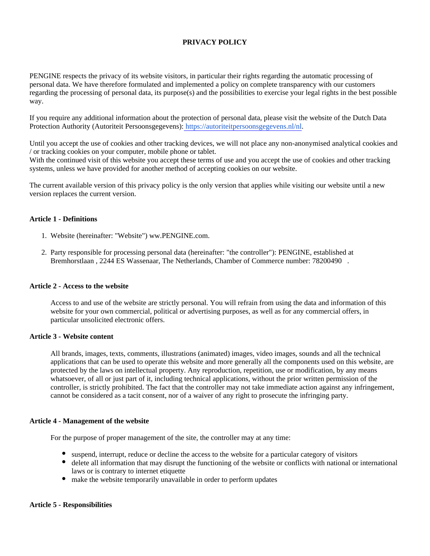# **PRIVACY POLICY**

PENGINE respects the privacy of its website visitors, in particular their rights regarding the automatic processing of personal data. We have therefore formulated and implemented a policy on complete transparency with our customers regarding the processing of personal data, its purpose(s) and the possibilities to exercise your legal rights in the best possible way.

If you require any additional information about the protection of personal data, please visit the website of the Dutch Data Protection Authority (Autoriteit Persoonsgegevens): [https://autoriteitpersoonsgegevens.nl/nl.](https://autoriteitpersoonsgegevens.nl/nl)

Until you accept the use of cookies and other tracking devices, we will not place any non-anonymised analytical cookies and / or tracking cookies on your computer, mobile phone or tablet.

With the continued visit of this website you accept these terms of use and you accept the use of cookies and other tracking systems, unless we have provided for another method of accepting cookies on our website.

The current available version of this privacy policy is the only version that applies while visiting our website until a new version replaces the current version.

## **Article 1 - Definitions**

- 1. Website (hereinafter: "Website") ww.PENGINE.com.
- 2. Party responsible for processing personal data (hereinafter: "the controller"): PENGINE, established at Bremhorstlaan , 2244 ES Wassenaar, The Netherlands, Chamber of Commerce number: 78200490 .

#### **Article 2 - Access to the website**

Access to and use of the website are strictly personal. You will refrain from using the data and information of this website for your own commercial, political or advertising purposes, as well as for any commercial offers, in particular unsolicited electronic offers.

## **Article 3 - Website content**

All brands, images, texts, comments, illustrations (animated) images, video images, sounds and all the technical applications that can be used to operate this website and more generally all the components used on this website, are protected by the laws on intellectual property. Any reproduction, repetition, use or modification, by any means whatsoever, of all or just part of it, including technical applications, without the prior written permission of the controller, is strictly prohibited. The fact that the controller may not take immediate action against any infringement, cannot be considered as a tacit consent, nor of a waiver of any right to prosecute the infringing party.

## **Article 4 - Management of the website**

For the purpose of proper management of the site, the controller may at any time:

- suspend, interrupt, reduce or decline the access to the website for a particular category of visitors
- delete all information that may disrupt the functioning of the website or conflicts with national or international laws or is contrary to internet etiquette
- make the website temporarily unavailable in order to perform updates

#### **Article 5 - Responsibilities**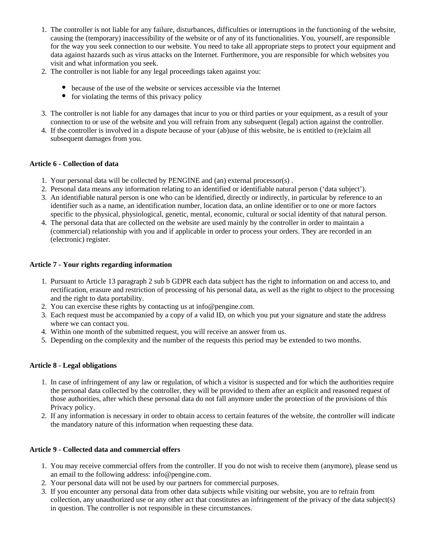- 1. The controller is not liable for any failure, disturbances, difficulties or interruptions in the functioning of the website, causing the (temporary) inaccessibility of the website or of any of its functionalities. You, yourself, are responsible for the way you seek connection to our website. You need to take all appropriate steps to protect your equipment and data against hazards such as virus attacks on the Internet. Furthermore, you are responsible for which websites you visit and what information you seek.
- 2. The controller is not liable for any legal proceedings taken against you:
	- because of the use of the website or services accessible via the Internet
	- $\bullet$  for violating the terms of this privacy policy
- 3. The controller is not liable for any damages that incur to you or third parties or your equipment, as a result of your connection to or use of the website and you will refrain from any subsequent (legal) action against the controller.
- 4. If the controller is involved in a dispute because of your (ab)use of this website, he is entitled to (re)claim all subsequent damages from you.

# **Article 6 - Collection of data**

- 1. Your personal data will be collected by PENGINE and (an) external processor(s) .
- 2. Personal data means any information relating to an identified or identifiable natural person ('data subject').
- 3. An identifiable natural person is one who can be identified, directly or indirectly, in particular by reference to an identifier such as a name, an identification number, location data, an online identifier or to one or more factors specific to the physical, physiological, genetic, mental, economic, cultural or social identity of that natural person.
- 4. The personal data that are collected on the website are used mainly by the controller in order to maintain a (commercial) relationship with you and if applicable in order to process your orders. They are recorded in an (electronic) register.

# **Article 7 - Your rights regarding information**

- 1. Pursuant to Article 13 paragraph 2 sub b GDPR each data subject has the right to information on and access to, and rectification, erasure and restriction of processing of his personal data, as well as the right to object to the processing and the right to data portability.
- 2. You can exercise these rights by contacting us at info@pengine.com.
- 3. Each request must be accompanied by a copy of a valid ID, on which you put your signature and state the address where we can contact you.
- 4. Within one month of the submitted request, you will receive an answer from us.
- 5. Depending on the complexity and the number of the requests this period may be extended to two months.

# **Article 8 - Legal obligations**

- 1. In case of infringement of any law or regulation, of which a visitor is suspected and for which the authorities require the personal data collected by the controller, they will be provided to them after an explicit and reasoned request of those authorities, after which these personal data do not fall anymore under the protection of the provisions of this Privacy policy.
- 2. If any information is necessary in order to obtain access to certain features of the website, the controller will indicate the mandatory nature of this information when requesting these data.

# **Article 9 - Collected data and commercial offers**

- 1. You may receive commercial offers from the controller. If you do not wish to receive them (anymore), please send us an email to the following address: info@pengine.com.
- 2. Your personal data will not be used by our partners for commercial purposes.
- 3. If you encounter any personal data from other data subjects while visiting our website, you are to refrain from collection, any unauthorized use or any other act that constitutes an infringement of the privacy of the data subject(s) in question. The controller is not responsible in these circumstances.